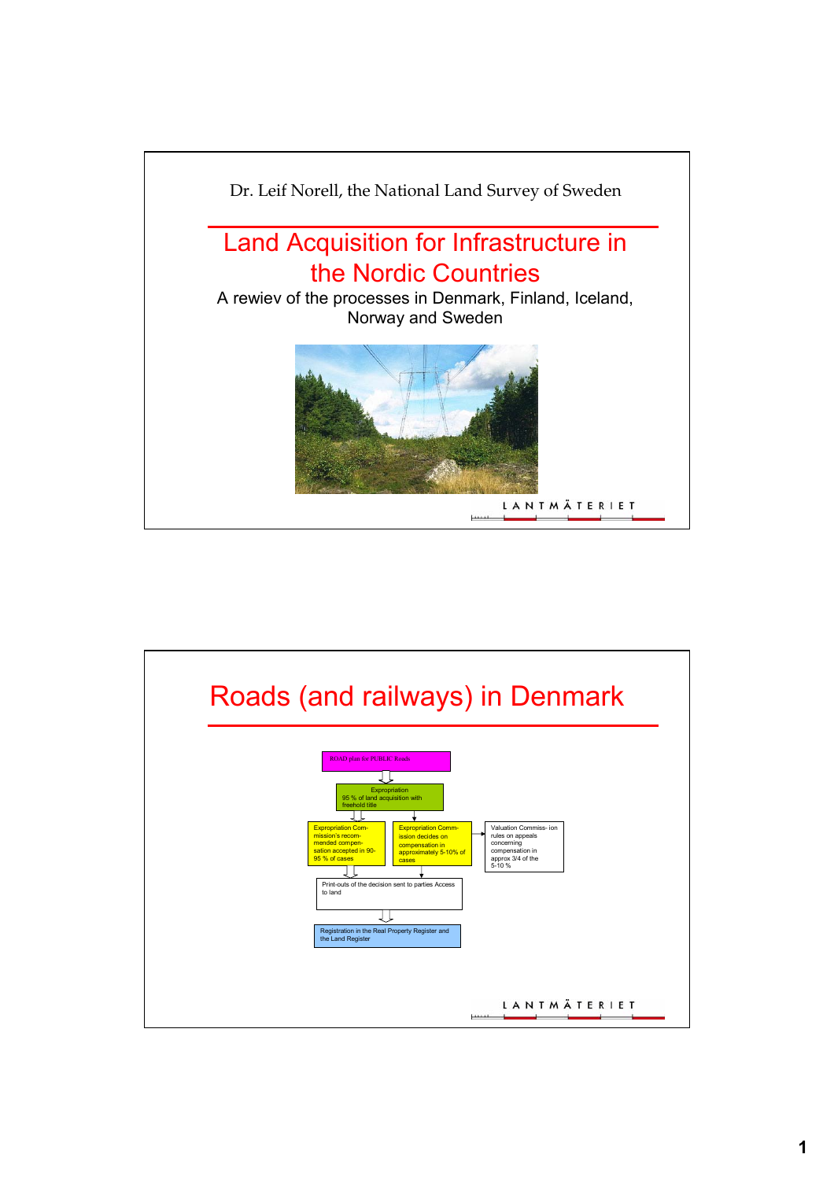

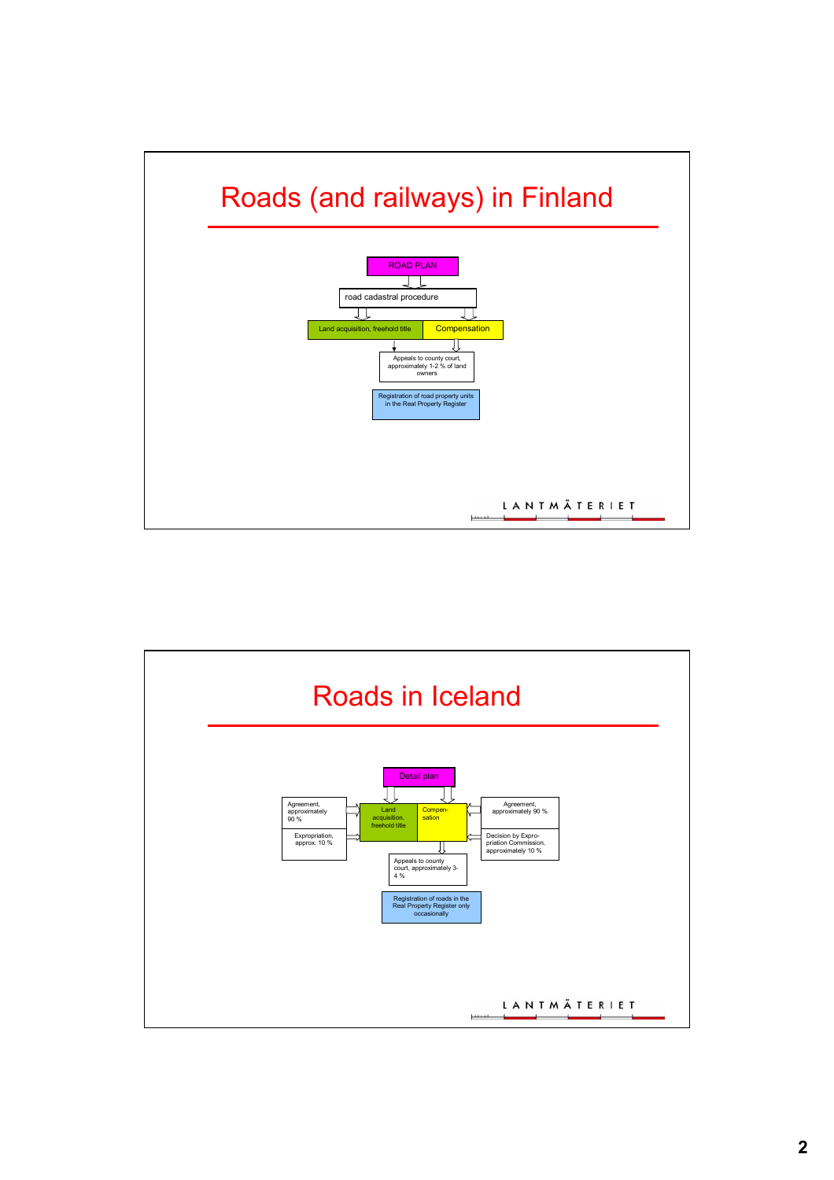

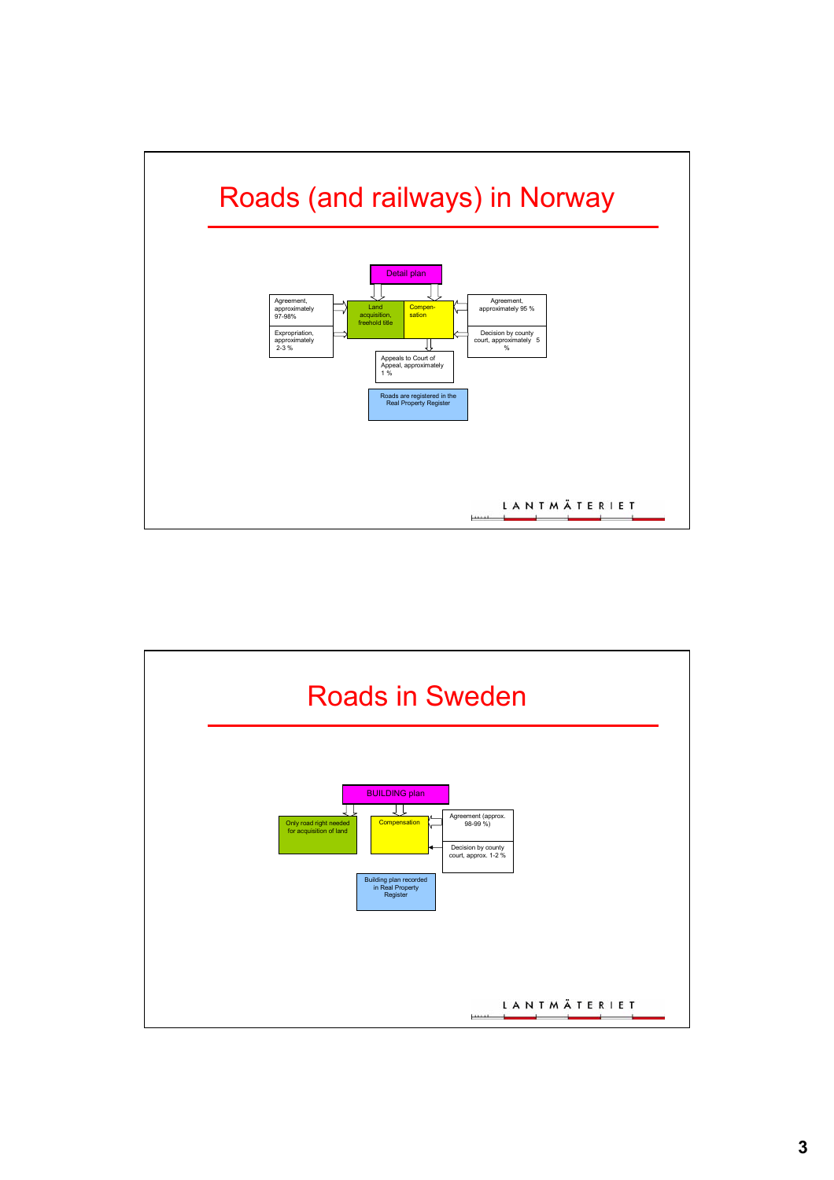

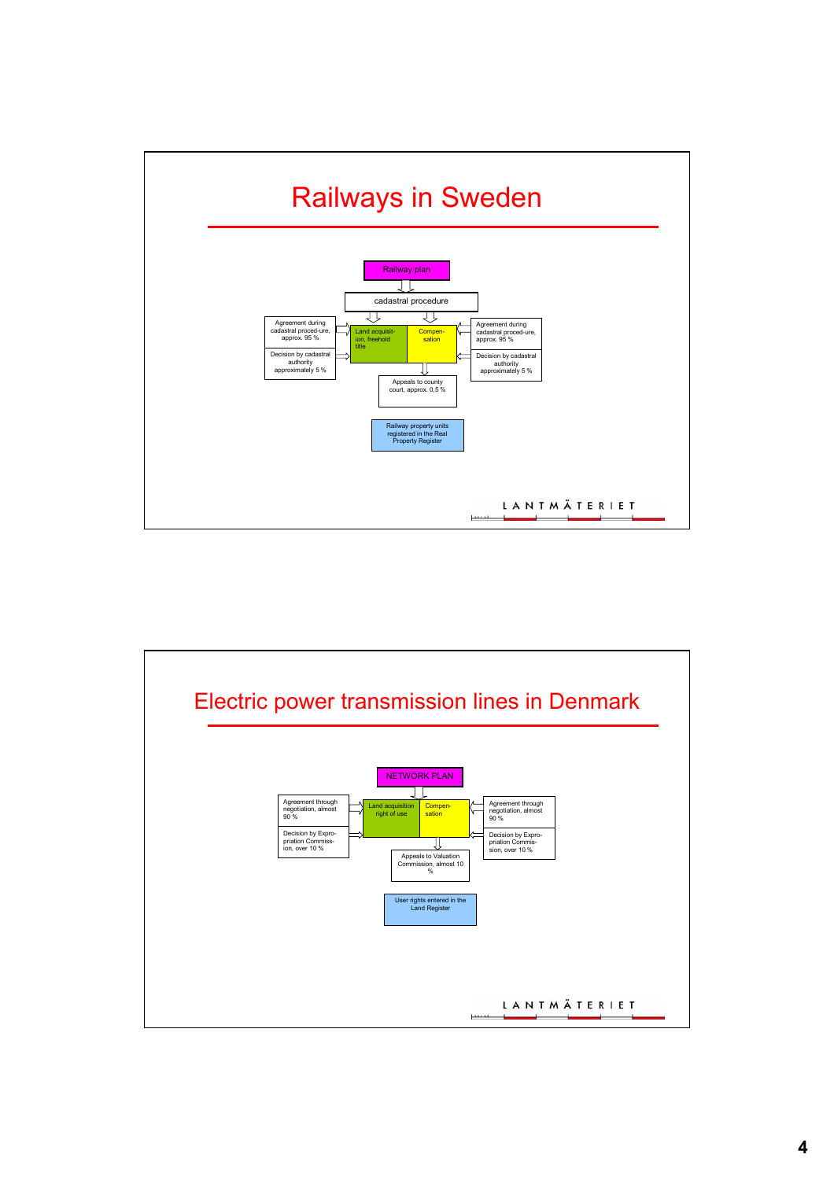

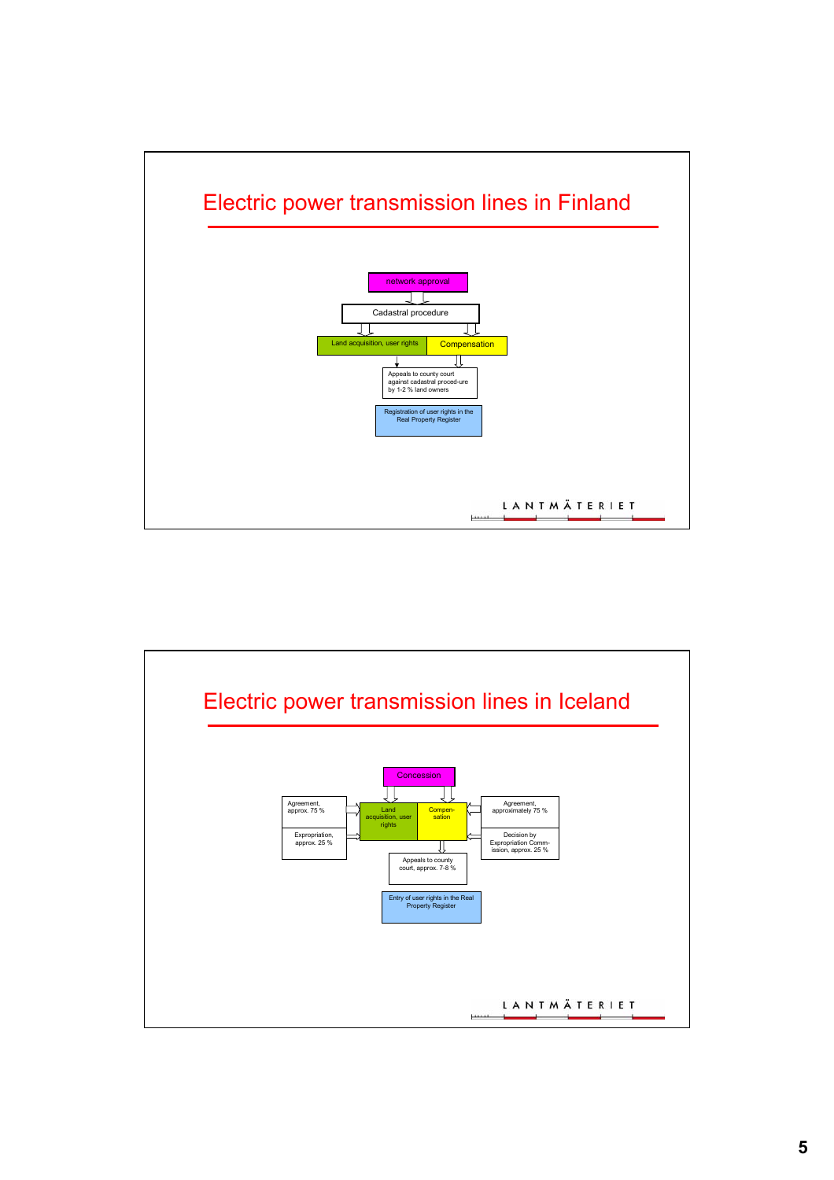

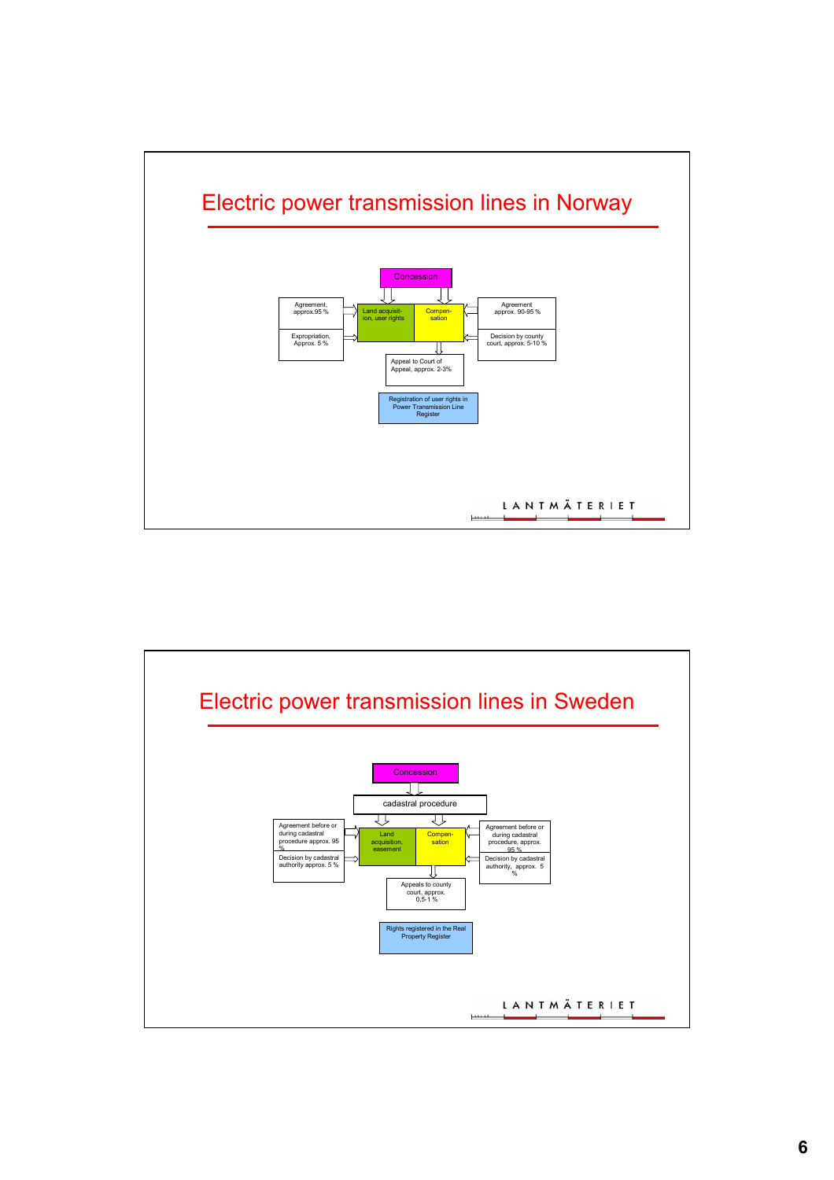